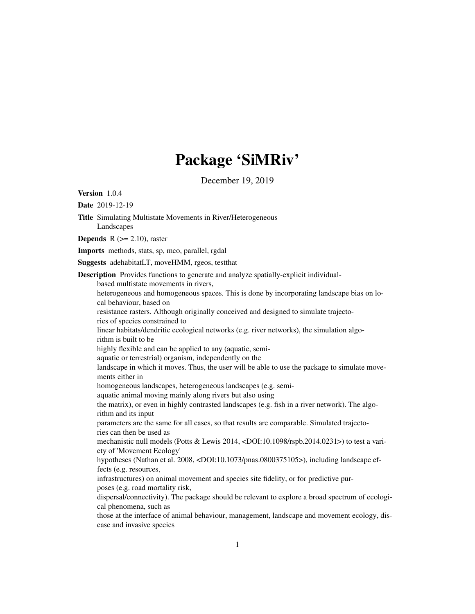# Package 'SiMRiv'

December 19, 2019

Title Simulating Multistate Movements in River/Heterogeneous

<span id="page-0-0"></span>Version 1.0.4 Date 2019-12-19

Landscapes

**Depends** R  $(>= 2.10)$ , raster Imports methods, stats, sp, mco, parallel, rgdal Suggests adehabitatLT, moveHMM, rgeos, testthat Description Provides functions to generate and analyze spatially-explicit individualbased multistate movements in rivers, heterogeneous and homogeneous spaces. This is done by incorporating landscape bias on local behaviour, based on resistance rasters. Although originally conceived and designed to simulate trajectories of species constrained to linear habitats/dendritic ecological networks (e.g. river networks), the simulation algorithm is built to be highly flexible and can be applied to any (aquatic, semiaquatic or terrestrial) organism, independently on the landscape in which it moves. Thus, the user will be able to use the package to simulate movements either in homogeneous landscapes, heterogeneous landscapes (e.g. semiaquatic animal moving mainly along rivers but also using the matrix), or even in highly contrasted landscapes (e.g. fish in a river network). The algorithm and its input parameters are the same for all cases, so that results are comparable. Simulated trajectories can then be used as mechanistic null models (Potts & Lewis 2014, <DOI:10.1098/rspb.2014.0231>) to test a variety of 'Movement Ecology' hypotheses (Nathan et al. 2008, <DOI:10.1073/pnas.0800375105>), including landscape effects (e.g. resources, infrastructures) on animal movement and species site fidelity, or for predictive purposes (e.g. road mortality risk, dispersal/connectivity). The package should be relevant to explore a broad spectrum of ecological phenomena, such as those at the interface of animal behaviour, management, landscape and movement ecology, disease and invasive species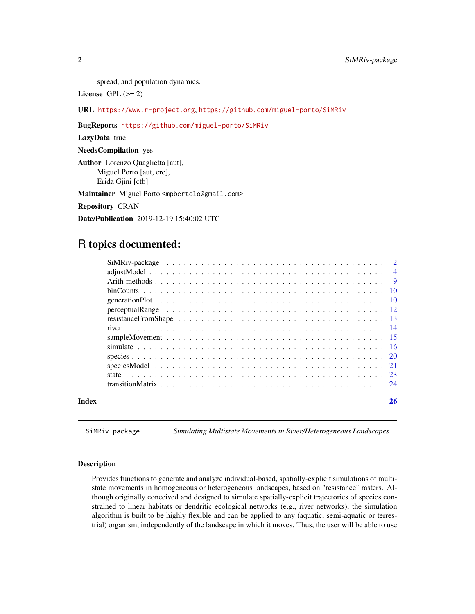<span id="page-1-0"></span>spread, and population dynamics.

License GPL  $(>= 2)$ 

URL <https://www.r-project.org>, <https://github.com/miguel-porto/SiMRiv>

BugReports <https://github.com/miguel-porto/SiMRiv>

LazyData true

NeedsCompilation yes

Author Lorenzo Quaglietta [aut], Miguel Porto [aut, cre], Erida Gjini [ctb]

Maintainer Miguel Porto <mpbertolo@gmail.com>

Repository CRAN

Date/Publication 2019-12-19 15:40:02 UTC

## R topics documented:

| Index | 26 |
|-------|----|

SiMRiv-package *Simulating Multistate Movements in River/Heterogeneous Landscapes*

#### Description

Provides functions to generate and analyze individual-based, spatially-explicit simulations of multistate movements in homogeneous or heterogeneous landscapes, based on "resistance" rasters. Although originally conceived and designed to simulate spatially-explicit trajectories of species constrained to linear habitats or dendritic ecological networks (e.g., river networks), the simulation algorithm is built to be highly flexible and can be applied to any (aquatic, semi-aquatic or terrestrial) organism, independently of the landscape in which it moves. Thus, the user will be able to use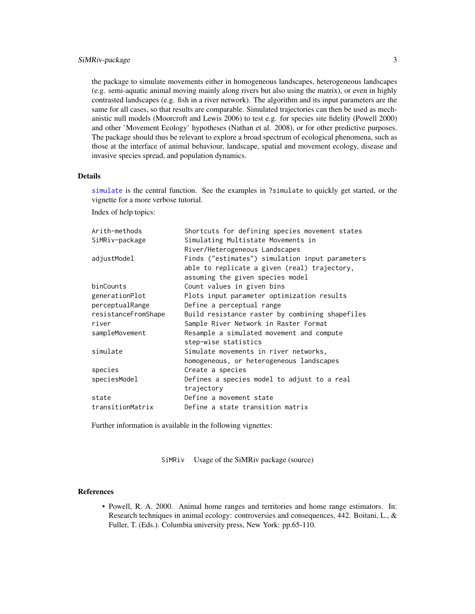<span id="page-2-0"></span>the package to simulate movements either in homogeneous landscapes, heterogeneous landscapes (e.g. semi-aquatic animal moving mainly along rivers but also using the matrix), or even in highly contrasted landscapes (e.g. fish in a river network). The algorithm and its input parameters are the same for all cases, so that results are comparable. Simulated trajectories can then be used as mechanistic null models (Moorcroft and Lewis 2006) to test e.g. for species site fidelity (Powell 2000) and other 'Movement Ecology' hypotheses (Nathan et al. 2008), or for other predictive purposes. The package should thus be relevant to explore a broad spectrum of ecological phenomena, such as those at the interface of animal behaviour, landscape, spatial and movement ecology, disease and invasive species spread, and population dynamics.

#### Details

[simulate](#page-15-1) is the central function. See the examples in ?simulate to quickly get started, or the vignette for a more verbose tutorial.

Index of help topics:

| Arith-methods       | Shortcuts for defining species movement states  |
|---------------------|-------------------------------------------------|
| SiMRiv-package      | Simulating Multistate Movements in              |
|                     | River/Heterogeneous Landscapes                  |
| adjustModel         | Finds ("estimates") simulation input parameters |
|                     | able to replicate a given (real) trajectory,    |
|                     | assuming the given species model                |
| binCounts           | Count values in given bins                      |
| generationPlot      | Plots input parameter optimization results      |
| perceptualRange     | Define a perceptual range                       |
| resistanceFromShape | Build resistance raster by combining shapefiles |
| river               | Sample River Network in Raster Format           |
| sampleMovement      | Resample a simulated movement and compute       |
|                     | step-wise statistics                            |
| simulate            | Simulate movements in river networks,           |
|                     | homogeneous, or heterogeneous landscapes        |
| species             | Create a species                                |
| speciesModel        | Defines a species model to adjust to a real     |
|                     | trajectory                                      |
| state               | Define a movement state                         |
| transitionMatrix    | Define a state transition matrix                |

Further information is available in the following vignettes:

SiMRiv Usage of the SiMRiv package (source)

#### References

• Powell, R. A. 2000. Animal home ranges and territories and home range estimators. In: Research techniques in animal ecology: controversies and consequences, 442. Boitani, L., & Fuller, T. (Eds.). Columbia university press, New York: pp.65-110.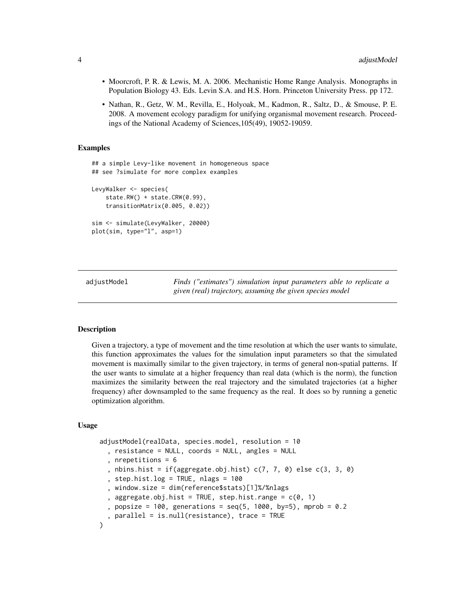- <span id="page-3-0"></span>• Moorcroft, P. R. & Lewis, M. A. 2006. Mechanistic Home Range Analysis. Monographs in Population Biology 43. Eds. Levin S.A. and H.S. Horn. Princeton University Press. pp 172.
- Nathan, R., Getz, W. M., Revilla, E., Holyoak, M., Kadmon, R., Saltz, D., & Smouse, P. E. 2008. A movement ecology paradigm for unifying organismal movement research. Proceedings of the National Academy of Sciences,105(49), 19052-19059.

#### Examples

```
## a simple Levy-like movement in homogeneous space
## see ?simulate for more complex examples
LevyWalker <- species(
    state.RW() + state.CRW(0.99),
    transitionMatrix(0.005, 0.02))
sim <- simulate(LevyWalker, 20000)
plot(sim, type="l", asp=1)
```
<span id="page-3-1"></span>adjustModel *Finds ("estimates") simulation input parameters able to replicate a given (real) trajectory, assuming the given species model*

#### **Description**

Given a trajectory, a type of movement and the time resolution at which the user wants to simulate, this function approximates the values for the simulation input parameters so that the simulated movement is maximally similar to the given trajectory, in terms of general non-spatial patterns. If the user wants to simulate at a higher frequency than real data (which is the norm), the function maximizes the similarity between the real trajectory and the simulated trajectories (at a higher frequency) after downsampled to the same frequency as the real. It does so by running a genetic optimization algorithm.

#### Usage

```
adjustModel(realData, species.model, resolution = 10
  , resistance = NULL, coords = NULL, angles = NULL
  , nrepetitions = 6
  , nbins.hist = if(aggregate.obj.hist) c(7, 7, 0) else c(3, 3, 0)
  , step.hist.log = TRUE, nlags = 100, window.size = dim(reference$stats)[1]%/%nlags
  , aggregate.obj.hist = TRUE, step.hist.range = c(0, 1), popsize = 100, generations = seq(5, 1000, by=5), mprob = 0.2
  , parallel = is.null(resistance), trace = TRUE
)
```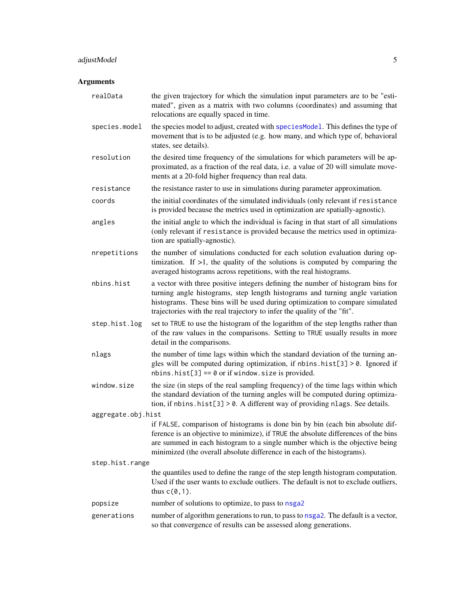#### <span id="page-4-0"></span>adjustModel 5

#### Arguments

realData the given trajectory for which the simulation input parameters are to be "estimated", given as a matrix with two columns (coordinates) and assuming that relocations are equally spaced in time. species. model the species model to adjust, created with [speciesModel](#page-20-1). This defines the type of movement that is to be adjusted (e.g. how many, and which type of, behavioral states, see details). resolution the desired time frequency of the simulations for which parameters will be approximated, as a fraction of the real data, i.e. a value of 20 will simulate movements at a 20-fold higher frequency than real data. resistance the resistance raster to use in simulations during parameter approximation. coords the initial coordinates of the simulated individuals (only relevant if resistance is provided because the metrics used in optimization are spatially-agnostic). angles the initial angle to which the individual is facing in that start of all simulations (only relevant if resistance is provided because the metrics used in optimization are spatially-agnostic). nrepetitions the number of simulations conducted for each solution evaluation during optimization. If  $>1$ , the quality of the solutions is computed by comparing the averaged histograms across repetitions, with the real histograms. nbins.hist a vector with three positive integers defining the number of histogram bins for turning angle histograms, step length histograms and turning angle variation histograms. These bins will be used during optimization to compare simulated trajectories with the real trajectory to infer the quality of the "fit". step.hist.log set to TRUE to use the histogram of the logarithm of the step lengths rather than of the raw values in the comparisons. Setting to TRUE usually results in more detail in the comparisons. nlags the number of time lags within which the standard deviation of the turning angles will be computed during optimization, if nbins.hist[3]  $> 0$ . Ignored if  $nbins.hist[3] == 0$  or if window.size is provided. window.size the size (in steps of the real sampling frequency) of the time lags within which the standard deviation of the turning angles will be computed during optimization, if nbins.hist[3] > 0. A different way of providing nlags. See details. aggregate.obj.hist if FALSE, comparison of histograms is done bin by bin (each bin absolute difference is an objective to minimize), if TRUE the absolute differences of the bins are summed in each histogram to a single number which is the objective being minimized (the overall absolute difference in each of the histograms). step.hist.range the quantiles used to define the range of the step length histogram computation. Used if the user wants to exclude outliers. The default is not to exclude outliers, thus  $c(0,1)$ . popsize number of solutions to optimize, to pass to [nsga2](#page-0-0) generations number of algorithm generations to run, to pass to [nsga2](#page-0-0). The default is a vector, so that convergence of results can be assessed along generations.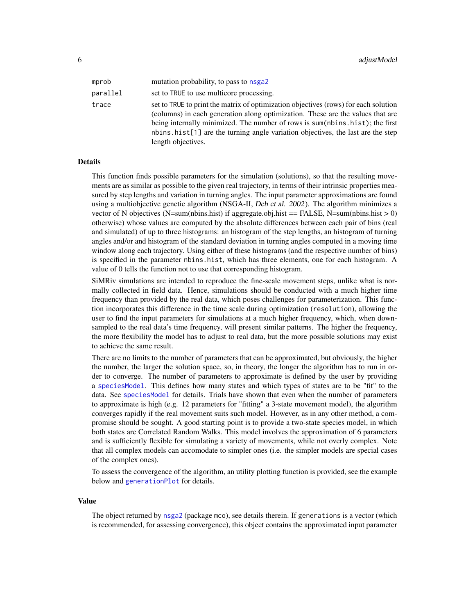<span id="page-5-0"></span>

| mprob    | mutation probability, to pass to nsga2                                                                                                                                                                                                                                                                                                                         |
|----------|----------------------------------------------------------------------------------------------------------------------------------------------------------------------------------------------------------------------------------------------------------------------------------------------------------------------------------------------------------------|
| parallel | set to TRUE to use multicore processing.                                                                                                                                                                                                                                                                                                                       |
| trace    | set to TRUE to print the matrix of optimization objectives (rows) for each solution<br>(columns) in each generation along optimization. These are the values that are<br>being internally minimized. The number of rows is sum(nbins.hist); the first<br>nbins.hist[1] are the turning angle variation objectives, the last are the step<br>length objectives. |

#### Details

This function finds possible parameters for the simulation (solutions), so that the resulting movements are as similar as possible to the given real trajectory, in terms of their intrinsic properties measured by step lengths and variation in turning angles. The input parameter approximations are found using a multiobjective genetic algorithm (NSGA-II, Deb et al. 2002). The algorithm minimizes a vector of N objectives (N=sum(nbins.hist) if aggregate.obj.hist == FALSE, N=sum(nbins.hist > 0) otherwise) whose values are computed by the absolute differences between each pair of bins (real and simulated) of up to three histograms: an histogram of the step lengths, an histogram of turning angles and/or and histogram of the standard deviation in turning angles computed in a moving time window along each trajectory. Using either of these histograms (and the respective number of bins) is specified in the parameter nbins.hist, which has three elements, one for each histogram. A value of 0 tells the function not to use that corresponding histogram.

SiMRiv simulations are intended to reproduce the fine-scale movement steps, unlike what is normally collected in field data. Hence, simulations should be conducted with a much higher time frequency than provided by the real data, which poses challenges for parameterization. This function incorporates this difference in the time scale during optimization (resolution), allowing the user to find the input parameters for simulations at a much higher frequency, which, when downsampled to the real data's time frequency, will present similar patterns. The higher the frequency, the more flexibility the model has to adjust to real data, but the more possible solutions may exist to achieve the same result.

There are no limits to the number of parameters that can be approximated, but obviously, the higher the number, the larger the solution space, so, in theory, the longer the algorithm has to run in order to converge. The number of parameters to approximate is defined by the user by providing a [speciesModel](#page-20-1). This defines how many states and which types of states are to be "fit" to the data. See [speciesModel](#page-20-1) for details. Trials have shown that even when the number of parameters to approximate is high (e.g. 12 parameters for "fitting" a 3-state movement model), the algorithm converges rapidly if the real movement suits such model. However, as in any other method, a compromise should be sought. A good starting point is to provide a two-state species model, in which both states are Correlated Random Walks. This model involves the approximation of 6 parameters and is sufficiently flexible for simulating a variety of movements, while not overly complex. Note that all complex models can accomodate to simpler ones (i.e. the simpler models are special cases of the complex ones).

To assess the convergence of the algorithm, an utility plotting function is provided, see the example below and [generationPlot](#page-9-1) for details.

#### Value

The object returned by [nsga2](#page-0-0) (package mco), see details therein. If generations is a vector (which is recommended, for assessing convergence), this object contains the approximated input parameter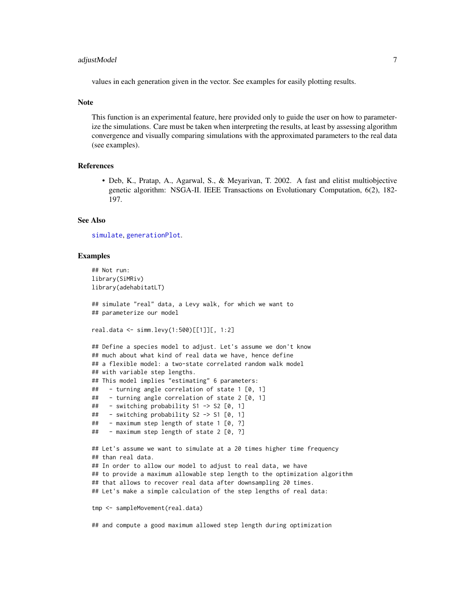#### <span id="page-6-0"></span>adjustModel 7 and 7 and 7 and 7 and 7 and 7 and 7 and 7 and 7 and 7 and 7 and 7 and 7 and 7 and 7 and 7 and 7 and 7 and 7 and 7 and 7 and 7 and 7 and 7 and 7 and 7 and 7 and 7 and 7 and 7 and 7 and 7 and 7 and 7 and 7 and

values in each generation given in the vector. See examples for easily plotting results.

#### **Note**

This function is an experimental feature, here provided only to guide the user on how to parameterize the simulations. Care must be taken when interpreting the results, at least by assessing algorithm convergence and visually comparing simulations with the approximated parameters to the real data (see examples).

#### References

• Deb, K., Pratap, A., Agarwal, S., & Meyarivan, T. 2002. A fast and elitist multiobjective genetic algorithm: NSGA-II. IEEE Transactions on Evolutionary Computation, 6(2), 182- 197.

#### See Also

[simulate](#page-15-1), [generationPlot](#page-9-1).

#### Examples

```
## Not run:
library(SiMRiv)
library(adehabitatLT)
## simulate "real" data, a Levy walk, for which we want to
## parameterize our model
real.data <- simm.levy(1:500)[[1]][, 1:2]
## Define a species model to adjust. Let's assume we don't know
## much about what kind of real data we have, hence define
## a flexible model: a two-state correlated random walk model
## with variable step lengths.
## This model implies "estimating" 6 parameters:
## - turning angle correlation of state 1 [0, 1]
## - turning angle correlation of state 2 [0, 1]
## - switching probability S1 -> S2 [0, 1]
## - switching probability S2 -> S1 [0, 1]
## - maximum step length of state 1 [0, ?]
## - maximum step length of state 2 [0, ?]
## Let's assume we want to simulate at a 20 times higher time frequency
## than real data.
## In order to allow our model to adjust to real data, we have
## to provide a maximum allowable step length to the optimization algorithm
## that allows to recover real data after downsampling 20 times.
## Let's make a simple calculation of the step lengths of real data:
tmp <- sampleMovement(real.data)
```
## and compute a good maximum allowed step length during optimization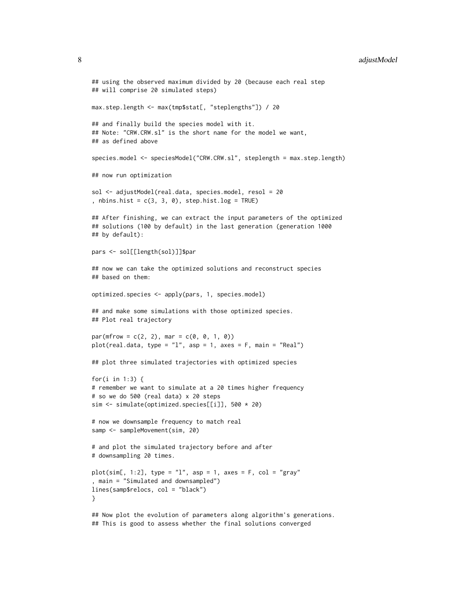#### 8 adjustModel

```
## using the observed maximum divided by 20 (because each real step
## will comprise 20 simulated steps)
max.step.length <- max(tmp$stat[, "steplengths"]) / 20
## and finally build the species model with it.
## Note: "CRW.CRW.sl" is the short name for the model we want,
## as defined above
species.model <- speciesModel("CRW.CRW.sl", steplength = max.step.length)
## now run optimization
sol <- adjustModel(real.data, species.model, resol = 20
, nbins.hist = c(3, 3, 0), step.hist.log = TRUE)
## After finishing, we can extract the input parameters of the optimized
## solutions (100 by default) in the last generation (generation 1000
## by default):
pars <- sol[[length(sol)]]$par
## now we can take the optimized solutions and reconstruct species
## based on them:
optimized.species <- apply(pars, 1, species.model)
## and make some simulations with those optimized species.
## Plot real trajectory
par(mfrow = c(2, 2), mar = c(0, 0, 1, 0))plot(real.data, type = "l", asp = 1, axes = F, main = "Real")
## plot three simulated trajectories with optimized species
for(i in 1:3) {
# remember we want to simulate at a 20 times higher frequency
# so we do 500 (real data) x 20 steps
sim <- simulate(optimized.species[[i]], 500 * 20)
# now we downsample frequency to match real
samp <- sampleMovement(sim, 20)
# and plot the simulated trajectory before and after
# downsampling 20 times.
plot(\text{sim}[, 1:2], type = "1", asp = 1, axes = F, col = "gray", main = "Simulated and downsampled")
lines(samp$relocs, col = "black")
}
## Now plot the evolution of parameters along algorithm's generations.
## This is good to assess whether the final solutions converged
```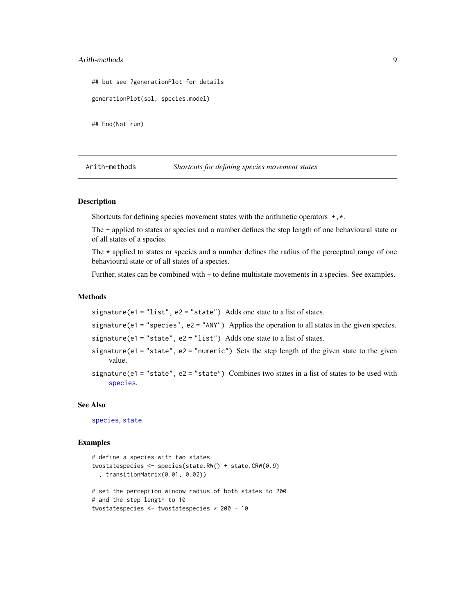#### <span id="page-8-0"></span>Arith-methods 9

```
## but see ?generationPlot for details
generationPlot(sol, species.model)
## End(Not run)
```
<span id="page-8-1"></span>Arith-methods *Shortcuts for defining species movement states*

#### Description

Shortcuts for defining species movement states with the arithmetic operators +,\*.

The + applied to states or species and a number defines the step length of one behavioural state or of all states of a species.

The  $\star$  applied to states or species and a number defines the radius of the perceptual range of one behavioural state or of all states of a species.

Further, states can be combined with + to define multistate movements in a species. See examples.

#### Methods

```
signature(e1 = "list", e2 = "state") Adds one state to a list of states.
```
signature(e1 = "species", e2 = "ANY") Applies the operation to all states in the given species.

signature(e1 = "state", e2 = "list") Adds one state to a list of states.

- signature(e1 = "state", e2 = "numeric") Sets the step length of the given state to the given value.
- signature(e1 = "state", e2 = "state") Combines two states in a list of states to be used with [species](#page-19-1).

#### See Also

[species](#page-19-1), [state](#page-22-1).

#### Examples

```
# define a species with two states
twostatespecies <- species(state.RW() + state.CRW(0.9)
  , transitionMatrix(0.01, 0.02))
# set the perception window radius of both states to 200
# and the step length to 10
twostatespecies <- twostatespecies * 200 + 10
```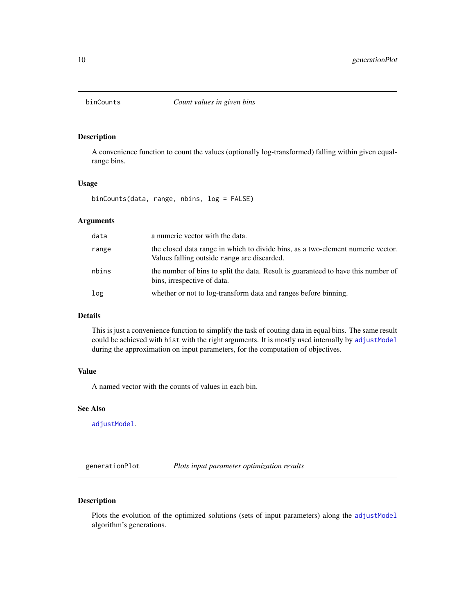<span id="page-9-0"></span>

#### Description

A convenience function to count the values (optionally log-transformed) falling within given equalrange bins.

#### Usage

binCounts(data, range, nbins, log = FALSE)

#### Arguments

| data  | a numeric vector with the data.                                                                                                |
|-------|--------------------------------------------------------------------------------------------------------------------------------|
| range | the closed data range in which to divide bins, as a two-element numeric vector.<br>Values falling outside range are discarded. |
| nbins | the number of bins to split the data. Result is guaranteed to have this number of<br>bins, irrespective of data.               |
| log   | whether or not to log-transform data and ranges before binning.                                                                |

#### Details

This is just a convenience function to simplify the task of couting data in equal bins. The same result could be achieved with hist with the right arguments. It is mostly used internally by [adjustModel](#page-3-1) during the approximation on input parameters, for the computation of objectives.

#### Value

A named vector with the counts of values in each bin.

#### See Also

[adjustModel](#page-3-1).

<span id="page-9-1"></span>generationPlot *Plots input parameter optimization results*

#### Description

Plots the evolution of the optimized solutions (sets of input parameters) along the [adjustModel](#page-3-1) algorithm's generations.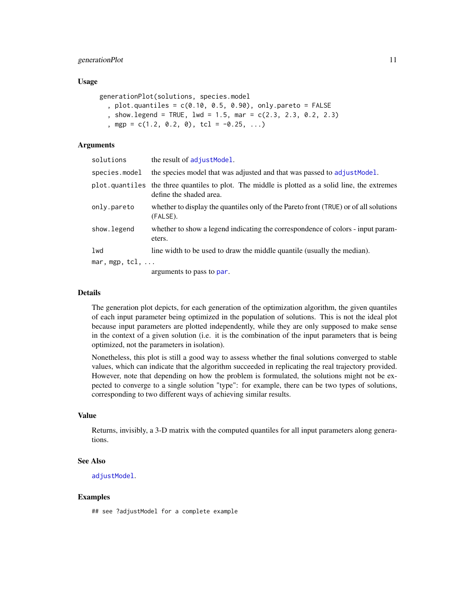#### <span id="page-10-0"></span>generationPlot 11

#### Usage

```
generationPlot(solutions, species.model
 , plot.quantiles = c(0.10, 0.5, 0.90), only.pareto = FALSE
  , show.legend = TRUE, lwd = 1.5, mar = c(2.3, 2.3, 0.2, 2.3)
  , mgp = c(1.2, 0.2, 0), tcl = -0.25, ...)
```
#### Arguments

| solutions      | the result of adjust Model.                                                                                                |
|----------------|----------------------------------------------------------------------------------------------------------------------------|
| species.model  | the species model that was adjusted and that was passed to adjust Model.                                                   |
|                | plot quantiles the three quantiles to plot. The middle is plotted as a solid line, the extremes<br>define the shaded area. |
| onlv.pareto    | whether to display the quantiles only of the Pareto front (TRUE) or of all solutions<br>(FALSE).                           |
| show.legend    | whether to show a legend indicating the correspondence of colors - input param-<br>eters.                                  |
| lwd            | line width to be used to draw the middle quantile (usually the median).                                                    |
| mar, mgp, tcl, |                                                                                                                            |
|                | arguments to pass to par.                                                                                                  |
|                |                                                                                                                            |

#### Details

The generation plot depicts, for each generation of the optimization algorithm, the given quantiles of each input parameter being optimized in the population of solutions. This is not the ideal plot because input parameters are plotted independently, while they are only supposed to make sense in the context of a given solution (i.e. it is the combination of the input parameters that is being optimized, not the parameters in isolation).

Nonetheless, this plot is still a good way to assess whether the final solutions converged to stable values, which can indicate that the algorithm succeeded in replicating the real trajectory provided. However, note that depending on how the problem is formulated, the solutions might not be expected to converge to a single solution "type": for example, there can be two types of solutions, corresponding to two different ways of achieving similar results.

#### Value

Returns, invisibly, a 3-D matrix with the computed quantiles for all input parameters along generations.

#### See Also

[adjustModel](#page-3-1).

#### Examples

## see ?adjustModel for a complete example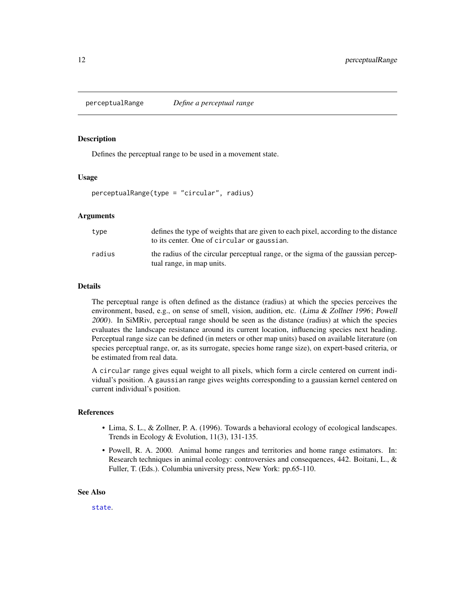<span id="page-11-1"></span><span id="page-11-0"></span>

#### **Description**

Defines the perceptual range to be used in a movement state.

#### Usage

perceptualRange(type = "circular", radius)

#### Arguments

| type   | defines the type of weights that are given to each pixel, according to the distance<br>to its center. One of circular or gaussian. |
|--------|------------------------------------------------------------------------------------------------------------------------------------|
| radius | the radius of the circular perceptual range, or the sigma of the gaussian percep-<br>tual range, in map units.                     |

#### Details

The perceptual range is often defined as the distance (radius) at which the species perceives the environment, based, e.g., on sense of smell, vision, audition, etc. (Lima & Zollner 1996; Powell 2000). In SiMRiv, perceptual range should be seen as the distance (radius) at which the species evaluates the landscape resistance around its current location, influencing species next heading. Perceptual range size can be defined (in meters or other map units) based on available literature (on species perceptual range, or, as its surrogate, species home range size), on expert-based criteria, or be estimated from real data.

A circular range gives equal weight to all pixels, which form a circle centered on current individual's position. A gaussian range gives weights corresponding to a gaussian kernel centered on current individual's position.

#### References

- Lima, S. L., & Zollner, P. A. (1996). Towards a behavioral ecology of ecological landscapes. Trends in Ecology & Evolution, 11(3), 131-135.
- Powell, R. A. 2000. Animal home ranges and territories and home range estimators. In: Research techniques in animal ecology: controversies and consequences, 442. Boitani, L., & Fuller, T. (Eds.). Columbia university press, New York: pp.65-110.

#### See Also

[state](#page-22-1).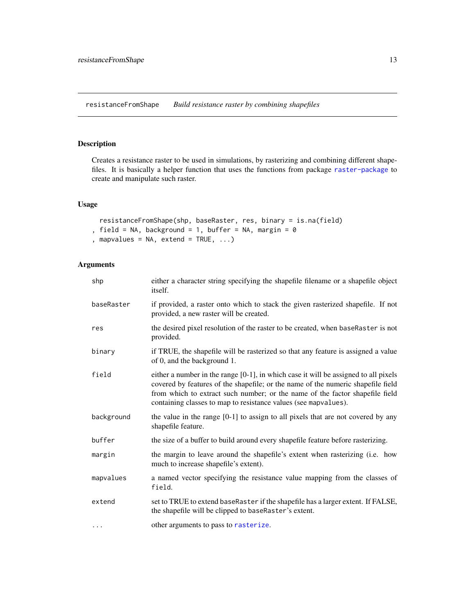<span id="page-12-0"></span>resistanceFromShape *Build resistance raster by combining shapefiles*

#### Description

Creates a resistance raster to be used in simulations, by rasterizing and combining different shapefiles. It is basically a helper function that uses the functions from package [raster-package](#page-0-0) to create and manipulate such raster.

#### Usage

```
resistanceFromShape(shp, baseRaster, res, binary = is.na(field)
, field = NA, background = 1, buffer = NA, margin = 0, mapvalues = NA, extend = TRUE, ...)
```
#### Arguments

| shp        | either a character string specifying the shapefile filename or a shapefile object<br>itself.                                                                                                                                                                                                                                  |
|------------|-------------------------------------------------------------------------------------------------------------------------------------------------------------------------------------------------------------------------------------------------------------------------------------------------------------------------------|
| baseRaster | if provided, a raster onto which to stack the given rasterized shapefile. If not<br>provided, a new raster will be created.                                                                                                                                                                                                   |
| res        | the desired pixel resolution of the raster to be created, when baseRaster is not<br>provided.                                                                                                                                                                                                                                 |
| binary     | if TRUE, the shapefile will be rasterized so that any feature is assigned a value<br>of 0, and the background 1.                                                                                                                                                                                                              |
| field      | either a number in the range $[0-1]$ , in which case it will be assigned to all pixels<br>covered by features of the shapefile; or the name of the numeric shapefile field<br>from which to extract such number; or the name of the factor shapefile field<br>containing classes to map to resistance values (see mapvalues). |
| background | the value in the range $[0-1]$ to assign to all pixels that are not covered by any<br>shapefile feature.                                                                                                                                                                                                                      |
| buffer     | the size of a buffer to build around every shapefile feature before rasterizing.                                                                                                                                                                                                                                              |
| margin     | the margin to leave around the shapefile's extent when rasterizing (i.e. how<br>much to increase shapefile's extent).                                                                                                                                                                                                         |
| mapvalues  | a named vector specifying the resistance value mapping from the classes of<br>field.                                                                                                                                                                                                                                          |
| extend     | set to TRUE to extend baseRaster if the shapefile has a larger extent. If FALSE,<br>the shapefile will be clipped to baseRaster's extent.                                                                                                                                                                                     |
| $\cdots$   | other arguments to pass to rasterize.                                                                                                                                                                                                                                                                                         |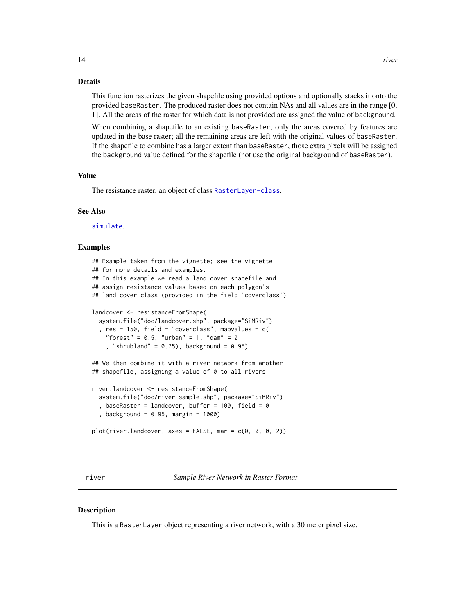#### <span id="page-13-0"></span>Details

This function rasterizes the given shapefile using provided options and optionally stacks it onto the provided baseRaster. The produced raster does not contain NAs and all values are in the range [0, 1]. All the areas of the raster for which data is not provided are assigned the value of background.

When combining a shapefile to an existing baseRaster, only the areas covered by features are updated in the base raster; all the remaining areas are left with the original values of baseRaster. If the shapefile to combine has a larger extent than baseRaster, those extra pixels will be assigned the background value defined for the shapefile (not use the original background of baseRaster).

#### Value

The resistance raster, an object of class [RasterLayer-class](#page-0-0).

#### See Also

[simulate](#page-15-1).

#### Examples

```
## Example taken from the vignette; see the vignette
## for more details and examples.
## In this example we read a land cover shapefile and
## assign resistance values based on each polygon's
## land cover class (provided in the field 'coverclass')
landcover <- resistanceFromShape(
 system.file("doc/landcover.shp", package="SiMRiv")
  , res = 150, field = "coverclass", mapvalues = c(
    "forest" = 0.5, "urban" = 1, "dam" = 0, "shrubland" = 0.75), background = 0.95)
## We then combine it with a river network from another
## shapefile, assigning a value of 0 to all rivers
river.landcover <- resistanceFromShape(
  system.file("doc/river-sample.shp", package="SiMRiv")
  , baseRaster = landcover, buffer = 100, field = 0
  , background = 0.95, margin = 1000)
plot(river.landcover, axes = FALSE, mar = c(0, 0, 0, 2))
```
river *Sample River Network in Raster Format*

#### **Description**

This is a RasterLayer object representing a river network, with a 30 meter pixel size.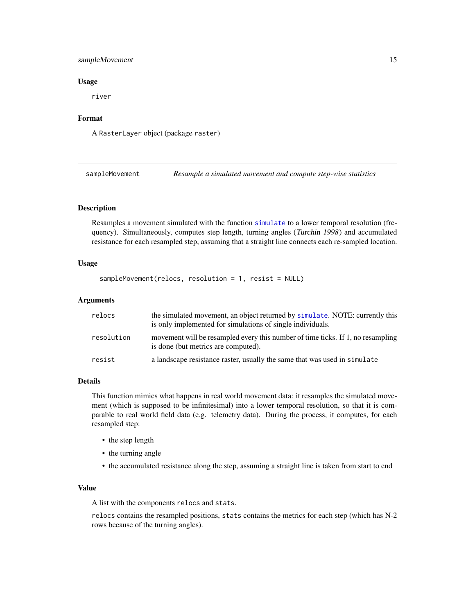#### <span id="page-14-0"></span>sampleMovement 15

#### Usage

river

#### Format

A RasterLayer object (package raster)

<span id="page-14-1"></span>sampleMovement *Resample a simulated movement and compute step-wise statistics*

#### Description

Resamples a movement simulated with the function [simulate](#page-15-1) to a lower temporal resolution (frequency). Simultaneously, computes step length, turning angles (Turchin 1998) and accumulated resistance for each resampled step, assuming that a straight line connects each re-sampled location.

#### Usage

```
sampleMovement(relocs, resolution = 1, resist = NULL)
```
#### Arguments

| relocs     | the simulated movement, an object returned by simulate. NOTE: currently this<br>is only implemented for simulations of single individuals. |
|------------|--------------------------------------------------------------------------------------------------------------------------------------------|
| resolution | movement will be resampled every this number of time ticks. If 1, no resampling<br>is done (but metrics are computed).                     |
| resist     | a landscape resistance raster, usually the same that was used in simulate                                                                  |

#### Details

This function mimics what happens in real world movement data: it resamples the simulated movement (which is supposed to be infinitesimal) into a lower temporal resolution, so that it is comparable to real world field data (e.g. telemetry data). During the process, it computes, for each resampled step:

- the step length
- the turning angle
- the accumulated resistance along the step, assuming a straight line is taken from start to end

#### Value

A list with the components relocs and stats.

relocs contains the resampled positions, stats contains the metrics for each step (which has N-2 rows because of the turning angles).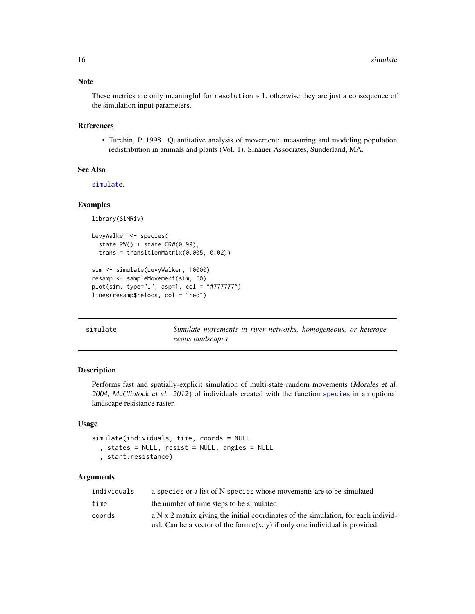#### Note

These metrics are only meaningful for resolution » 1, otherwise they are just a consequence of the simulation input parameters.

#### References

• Turchin, P. 1998. Quantitative analysis of movement: measuring and modeling population redistribution in animals and plants (Vol. 1). Sinauer Associates, Sunderland, MA.

#### See Also

[simulate](#page-15-1).

#### Examples

```
library(SiMRiv)
LevyWalker <- species(
  state.RW() + state.CRW(0.99),
  trans = transitionMatrix(0.005, 0.02))
sim <- simulate(LevyWalker, 10000)
resamp <- sampleMovement(sim, 50)
plot(sim, type="l", asp=1, col = "#777777")
lines(resamp$relocs, col = "red")
```
<span id="page-15-1"></span>simulate *Simulate movements in river networks, homogeneous, or heterogeneous landscapes*

#### Description

Performs fast and spatially-explicit simulation of multi-state random movements (Morales et al. 2004, McClintock et al. 2012) of individuals created with the function [species](#page-19-1) in an optional landscape resistance raster.

#### Usage

simulate(individuals, time, coords = NULL , states = NULL, resist = NULL, angles = NULL , start.resistance)

#### Arguments

| individuals | a species or a list of N species whose movements are to be simulated                   |
|-------------|----------------------------------------------------------------------------------------|
| time        | the number of time steps to be simulated                                               |
| coords      | a N $\ge$ 2 matrix giving the initial coordinates of the simulation, for each individ- |
|             | ual. Can be a vector of the form $c(x, y)$ if only one individual is provided.         |

<span id="page-15-0"></span>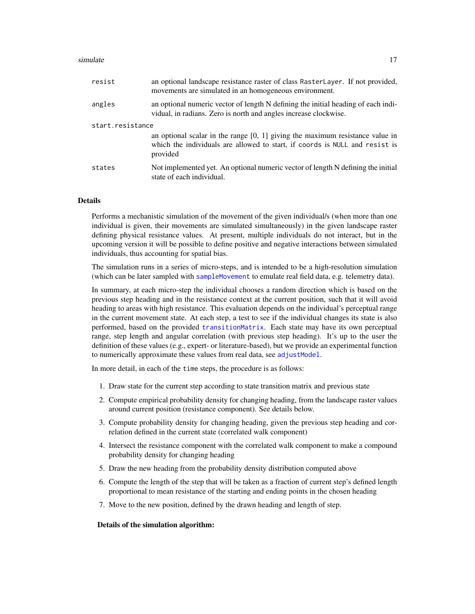#### <span id="page-16-0"></span>simulate the contract of the contract of the contract of the contract of the contract of the contract of the contract of the contract of the contract of the contract of the contract of the contract of the contract of the c

| resist           | an optional landscape resistance raster of class RasterLayer. If not provided,<br>movements are simulated in an homogeneous environment.                                   |
|------------------|----------------------------------------------------------------------------------------------------------------------------------------------------------------------------|
| angles           | an optional numeric vector of length N defining the initial heading of each indi-<br>vidual, in radians. Zero is north and angles increase clockwise.                      |
| start.resistance |                                                                                                                                                                            |
|                  | an optional scalar in the range $[0, 1]$ giving the maximum resistance value in<br>which the individuals are allowed to start, if coords is NULL and resist is<br>provided |
| states           | Not implemented yet. An optional numeric vector of length N defining the initial<br>state of each individual.                                                              |

#### Details

Performs a mechanistic simulation of the movement of the given individual/s (when more than one individual is given, their movements are simulated simultaneously) in the given landscape raster defining physical resistance values. At present, multiple individuals do not interact, but in the upcoming version it will be possible to define positive and negative interactions between simulated individuals, thus accounting for spatial bias.

The simulation runs in a series of micro-steps, and is intended to be a high-resolution simulation (which can be later sampled with [sampleMovement](#page-14-1) to emulate real field data, e.g. telemetry data).

In summary, at each micro-step the individual chooses a random direction which is based on the previous step heading and in the resistance context at the current position, such that it will avoid heading to areas with high resistance. This evaluation depends on the individual's perceptual range in the current movement state. At each step, a test to see if the individual changes its state is also performed, based on the provided [transitionMatrix](#page-23-1). Each state may have its own perceptual range, step length and angular correlation (with previous step heading). It's up to the user the definition of these values (e.g., expert- or literature-based), but we provide an experimental function to numerically approximate these values from real data, see [adjustModel](#page-3-1).

In more detail, in each of the time steps, the procedure is as follows:

- 1. Draw state for the current step according to state transition matrix and previous state
- 2. Compute empirical probability density for changing heading, from the landscape raster values around current position (resistance component). See details below.
- 3. Compute probability density for changing heading, given the previous step heading and correlation defined in the current state (correlated walk component)
- 4. Intersect the resistance component with the correlated walk component to make a compound probability density for changing heading
- 5. Draw the new heading from the probability density distribution computed above
- 6. Compute the length of the step that will be taken as a fraction of current step's defined length proportional to mean resistance of the starting and ending points in the chosen heading
- 7. Move to the new position, defined by the drawn heading and length of step.

#### Details of the simulation algorithm: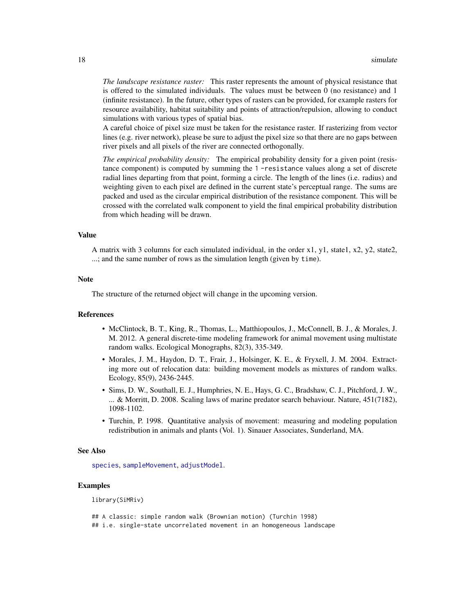<span id="page-17-0"></span>*The landscape resistance raster:* This raster represents the amount of physical resistance that is offered to the simulated individuals. The values must be between 0 (no resistance) and 1 (infinite resistance). In the future, other types of rasters can be provided, for example rasters for resource availability, habitat suitability and points of attraction/repulsion, allowing to conduct simulations with various types of spatial bias.

A careful choice of pixel size must be taken for the resistance raster. If rasterizing from vector lines (e.g. river network), please be sure to adjust the pixel size so that there are no gaps between river pixels and all pixels of the river are connected orthogonally.

*The empirical probability density:* The empirical probability density for a given point (resistance component) is computed by summing the 1 -resistance values along a set of discrete radial lines departing from that point, forming a circle. The length of the lines (i.e. radius) and weighting given to each pixel are defined in the current state's perceptual range. The sums are packed and used as the circular empirical distribution of the resistance component. This will be crossed with the correlated walk component to yield the final empirical probability distribution from which heading will be drawn.

#### Value

A matrix with 3 columns for each simulated individual, in the order x1, y1, state1, x2, y2, state2, ...; and the same number of rows as the simulation length (given by time).

#### Note

The structure of the returned object will change in the upcoming version.

#### References

- McClintock, B. T., King, R., Thomas, L., Matthiopoulos, J., McConnell, B. J., & Morales, J. M. 2012. A general discrete-time modeling framework for animal movement using multistate random walks. Ecological Monographs, 82(3), 335-349.
- Morales, J. M., Haydon, D. T., Frair, J., Holsinger, K. E., & Fryxell, J. M. 2004. Extracting more out of relocation data: building movement models as mixtures of random walks. Ecology, 85(9), 2436-2445.
- Sims, D. W., Southall, E. J., Humphries, N. E., Hays, G. C., Bradshaw, C. J., Pitchford, J. W., ... & Morritt, D. 2008. Scaling laws of marine predator search behaviour. Nature, 451(7182), 1098-1102.
- Turchin, P. 1998. Quantitative analysis of movement: measuring and modeling population redistribution in animals and plants (Vol. 1). Sinauer Associates, Sunderland, MA.

#### See Also

[species](#page-19-1), [sampleMovement](#page-14-1), [adjustModel](#page-3-1).

#### Examples

library(SiMRiv)

## A classic: simple random walk (Brownian motion) (Turchin 1998) ## i.e. single-state uncorrelated movement in an homogeneous landscape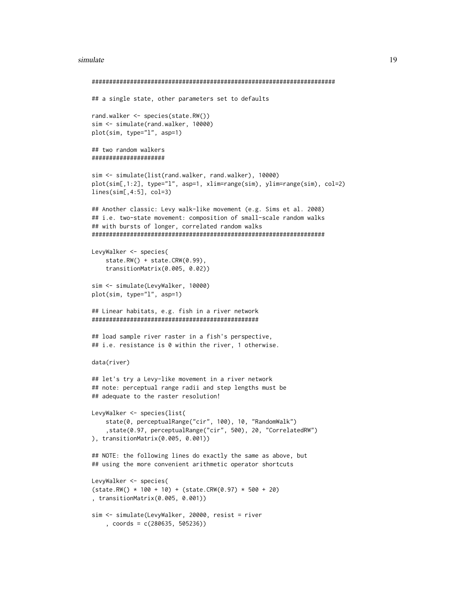#### simulate the contract of the contract of the contract of the contract of the contract of the contract of the contract of the contract of the contract of the contract of the contract of the contract of the contract of the c

```
######################################################################
## a single state, other parameters set to defaults
rand.walker <- species(state.RW())
sim <- simulate(rand.walker, 10000)
plot(sim, type="l", asp=1)
## two random walkers
#####################
sim <- simulate(list(rand.walker, rand.walker), 10000)
plot(sim[,1:2], type="l", asp=1, xlim=range(sim), ylim=range(sim), col=2)
lines(sim[,4:5], col=3)
## Another classic: Levy walk-like movement (e.g. Sims et al. 2008)
## i.e. two-state movement: composition of small-scale random walks
## with bursts of longer, correlated random walks
###################################################################
LevyWalker <- species(
    state.RW() + state.CRW(0.99),
    transitionMatrix(0.005, 0.02))
sim <- simulate(LevyWalker, 10000)
plot(sim, type="l", asp=1)
## Linear habitats, e.g. fish in a river network
################################################
## load sample river raster in a fish's perspective,
## i.e. resistance is 0 within the river, 1 otherwise.
data(river)
## let's try a Levy-like movement in a river network
## note: perceptual range radii and step lengths must be
## adequate to the raster resolution!
LevyWalker <- species(list(
    state(0, perceptualRange("cir", 100), 10, "RandomWalk")
    ,state(0.97, perceptualRange("cir", 500), 20, "CorrelatedRW")
), transitionMatrix(0.005, 0.001))
## NOTE: the following lines do exactly the same as above, but
## using the more convenient arithmetic operator shortcuts
LevyWalker <- species(
(state.RW() * 100 + 10) + (state.CRW(0.97) * 500 + 20), transitionMatrix(0.005, 0.001))
sim <- simulate(LevyWalker, 20000, resist = river
    , coords = c(280635, 505236))
```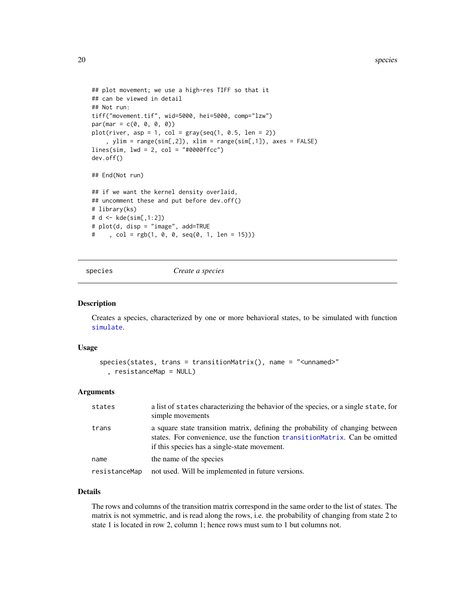```
## plot movement; we use a high-res TIFF so that it
## can be viewed in detail
## Not run:
tiff("movement.tif", wid=5000, hei=5000, comp="lzw")
par(max = c(0, 0, 0, 0))plot(river, asp = 1, col = gray(seq(1, 0.5, len = 2))
    , ylim = range(sim[,2]), xlim = range(sim[,1]), axes = FALSE)
lines(sim, lwd = 2, col = "#0000ffcc")dev.off()
## End(Not run)
## if we want the kernel density overlaid,
## uncomment these and put before dev.off()
# library(ks)
# d <- kde(sim[,1:2])
# plot(d, disp = "image", add=TRUE
# , col = rgb(1, 0, 0, seq(0, 1, len = 15)))
```
<span id="page-19-1"></span>

```
species Create a species
```
#### Description

Creates a species, characterized by one or more behavioral states, to be simulated with function [simulate](#page-15-1).

#### Usage

```
species(states, trans = transitionMatrix(), name = "<unnamed>"
  , resistanceMap = NULL)
```
#### Arguments

| states        | a list of states characterizing the behavior of the species, or a single state, for<br>simple movements                                                                                                      |
|---------------|--------------------------------------------------------------------------------------------------------------------------------------------------------------------------------------------------------------|
| trans         | a square state transition matrix, defining the probability of changing between<br>states. For convenience, use the function transitionMatrix. Can be omitted<br>if this species has a single-state movement. |
| name          | the name of the species                                                                                                                                                                                      |
| resistanceMap | not used. Will be implemented in future versions.                                                                                                                                                            |

#### Details

The rows and columns of the transition matrix correspond in the same order to the list of states. The matrix is not symmetric, and is read along the rows, i.e. the probability of changing from state 2 to state 1 is located in row 2, column 1; hence rows must sum to 1 but columns not.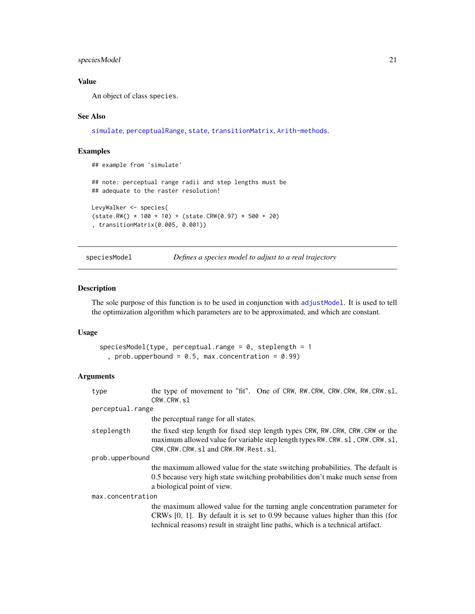#### <span id="page-20-0"></span>speciesModel 21

#### Value

An object of class species.

#### See Also

[simulate](#page-15-1), [perceptualRange](#page-11-1), [state](#page-22-1), [transitionMatrix](#page-23-1), [Arith-methods](#page-8-1).

#### Examples

```
## example from 'simulate'
## note: perceptual range radii and step lengths must be
## adequate to the raster resolution!
LevyWalker <- species(
(state.RW() * 100 + 10) + (state.CRW(0.97) * 500 + 20), transitionMatrix(0.005, 0.001))
```
speciesModel *Defines a species model to adjust to a real trajectory*

#### Description

The sole purpose of this function is to be used in conjunction with [adjustModel](#page-3-1). It is used to tell the optimization algorithm which parameters are to be approximated, and which are constant.

#### Usage

```
speciesModel(type, perceptual-range = 0, steplength = 1, prob.upperbound = 0.5, max.concentration = 0.99)
```
#### Arguments

| type              | the type of movement to "fit". One of CRW, RW.CRW, CRW.CRW, RW.CRW.sl,<br>CRW.CRW.sl                                                                                                                                                                 |
|-------------------|------------------------------------------------------------------------------------------------------------------------------------------------------------------------------------------------------------------------------------------------------|
| perceptual.range  |                                                                                                                                                                                                                                                      |
|                   | the perceptual range for all states.                                                                                                                                                                                                                 |
| steplength        | the fixed step length for fixed step length types CRW, RW.CRW, CRW.CRW or the<br>maximum allowed value for variable step length types RW.CRW.sl, CRW.CRW.sl,<br>CRW.CRW.CRW.sl and CRW.RW.Rest.sl.                                                   |
| prob.upperbound   |                                                                                                                                                                                                                                                      |
|                   | the maximum allowed value for the state switching probabilities. The default is<br>0.5 because very high state switching probabilities don't make much sense from<br>a biological point of view.                                                     |
| max.concentration |                                                                                                                                                                                                                                                      |
|                   | the maximum allowed value for the turning angle concentration parameter for<br>CRWs $[0, 1]$ . By default it is set to 0.99 because values higher than this (for<br>technical reasons) result in straight line paths, which is a technical artifact. |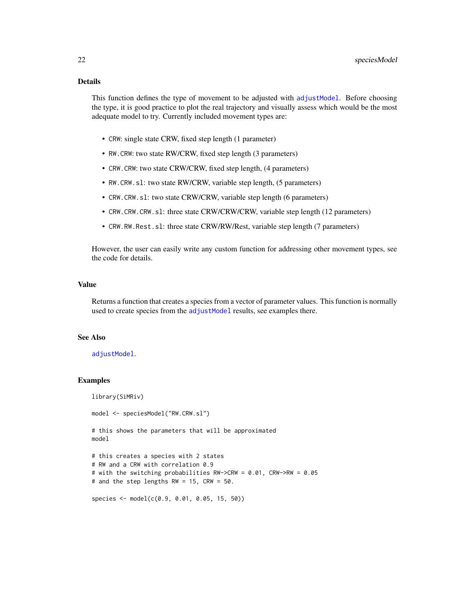#### <span id="page-21-0"></span>Details

This function defines the type of movement to be adjusted with [adjustModel](#page-3-1). Before choosing the type, it is good practice to plot the real trajectory and visually assess which would be the most adequate model to try. Currently included movement types are:

- CRW: single state CRW, fixed step length (1 parameter)
- RW.CRW: two state RW/CRW, fixed step length (3 parameters)
- CRW.CRW: two state CRW/CRW, fixed step length, (4 parameters)
- RW.CRW.sl: two state RW/CRW, variable step length, (5 parameters)
- CRW.CRW.sl: two state CRW/CRW, variable step length (6 parameters)
- CRW.CRW.CRW.sl: three state CRW/CRW/CRW, variable step length (12 parameters)
- CRW.RW.Rest.sl: three state CRW/RW/Rest, variable step length (7 parameters)

However, the user can easily write any custom function for addressing other movement types, see the code for details.

#### Value

Returns a function that creates a species from a vector of parameter values. This function is normally used to create species from the [adjustModel](#page-3-1) results, see examples there.

#### See Also

#### [adjustModel](#page-3-1).

#### Examples

```
library(SiMRiv)
model <- speciesModel("RW.CRW.sl")
# this shows the parameters that will be approximated
model
# this creates a species with 2 states
# RW and a CRW with correlation 0.9
# with the switching probabilities RW->CRW = 0.01, CRW->RW = 0.05
# and the step lengths RW = 15, CRW = 50.
species <- model(c(0.9, 0.01, 0.05, 15, 50))
```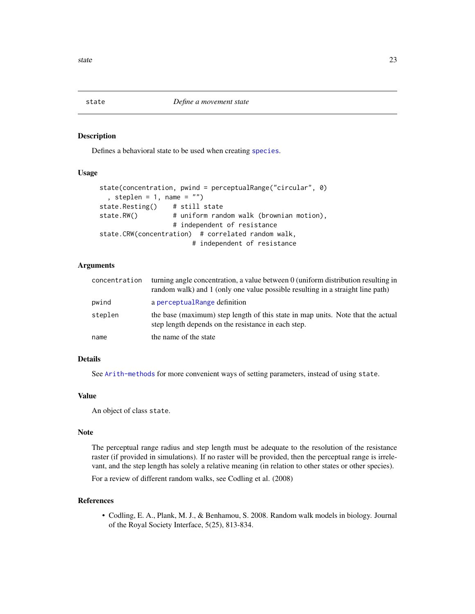<span id="page-22-1"></span><span id="page-22-0"></span>

#### Description

Defines a behavioral state to be used when creating [species](#page-19-1).

#### Usage

```
state(concentration, pwind = perceptualRange("circular", 0)
 , steplen = 1, name = ")
state.Resting() # still state
state.RW() # uniform random walk (brownian motion),
                  # independent of resistance
state.CRW(concentration) # correlated random walk,
                       # independent of resistance
```
#### Arguments

| concentration | turning angle concentration, a value between 0 (uniform distribution resulting in<br>random walk) and 1 (only one value possible resulting in a straight line path) |
|---------------|---------------------------------------------------------------------------------------------------------------------------------------------------------------------|
| pwind         | a perceptual Range definition                                                                                                                                       |
| steplen       | the base (maximum) step length of this state in map units. Note that the actual<br>step length depends on the resistance in each step.                              |
| name          | the name of the state                                                                                                                                               |

#### Details

See [Arith-methods](#page-8-1) for more convenient ways of setting parameters, instead of using state.

#### Value

An object of class state.

#### Note

The perceptual range radius and step length must be adequate to the resolution of the resistance raster (if provided in simulations). If no raster will be provided, then the perceptual range is irrelevant, and the step length has solely a relative meaning (in relation to other states or other species).

For a review of different random walks, see Codling et al. (2008)

#### References

• Codling, E. A., Plank, M. J., & Benhamou, S. 2008. Random walk models in biology. Journal of the Royal Society Interface, 5(25), 813-834.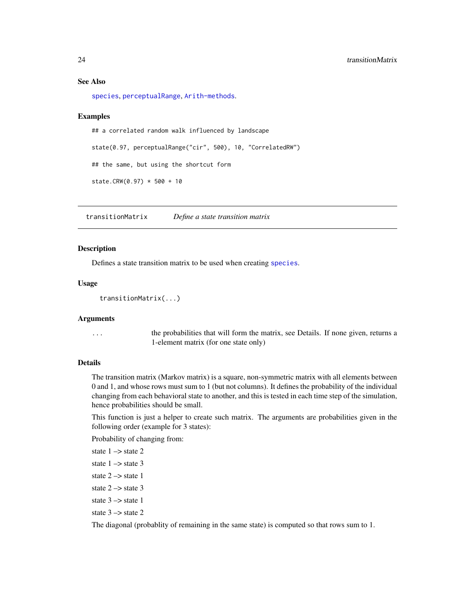#### <span id="page-23-0"></span>See Also

[species](#page-19-1), [perceptualRange](#page-11-1), [Arith-methods](#page-8-1).

#### Examples

## a correlated random walk influenced by landscape state(0.97, perceptualRange("cir", 500), 10, "CorrelatedRW") ## the same, but using the shortcut form state.CRW(0.97) \* 500 + 10

<span id="page-23-1"></span>transitionMatrix *Define a state transition matrix*

#### Description

Defines a state transition matrix to be used when creating [species](#page-19-1).

#### Usage

transitionMatrix(...)

#### Arguments

... the probabilities that will form the matrix, see Details. If none given, returns a 1-element matrix (for one state only)

#### Details

The transition matrix (Markov matrix) is a square, non-symmetric matrix with all elements between 0 and 1, and whose rows must sum to 1 (but not columns). It defines the probability of the individual changing from each behavioral state to another, and this is tested in each time step of the simulation, hence probabilities should be small.

This function is just a helper to create such matrix. The arguments are probabilities given in the following order (example for 3 states):

Probability of changing from:

```
state 1 \rightarrow state 2
state 1 \rightarrow state 3
state 2 \rightarrow state 1
state 2 \rightarrow state 3
state 3 \rightarrow state 1
state 3 \rightarrow state 2
```
The diagonal (probablity of remaining in the same state) is computed so that rows sum to 1.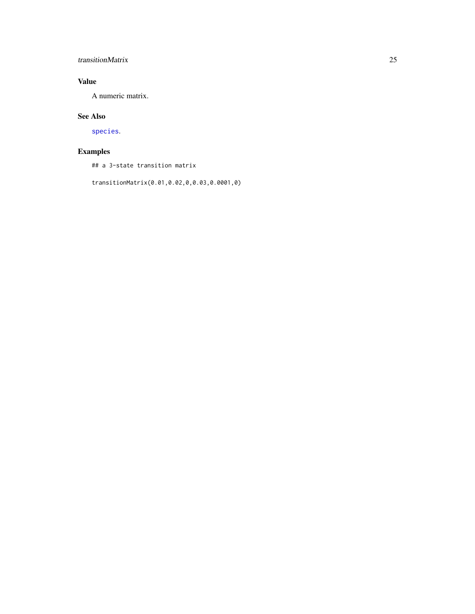### <span id="page-24-0"></span>transitionMatrix 25

#### Value

A numeric matrix.

#### See Also

[species](#page-19-1).

### Examples

## a 3-state transition matrix

transitionMatrix(0.01,0.02,0,0.03,0.0001,0)